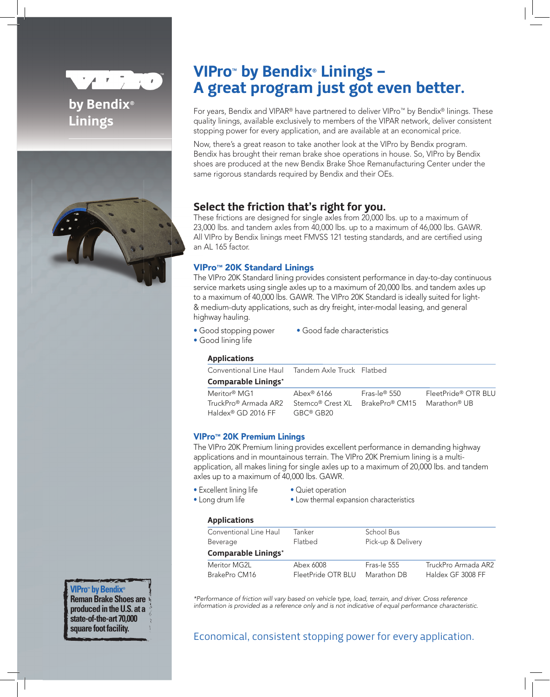

# by Bendix<sup>®</sup> Linings



# VIPro<sup>™</sup> by Bendix® Linings -A great program just got even better.

For years, Bendix and VIPAR® have partnered to deliver VIPro™ by Bendix® linings. These quality linings, available exclusively to members of the VIPAR network, deliver consistent stopping power for every application, and are available at an economical price.

Now, there's a great reason to take another look at the VIPro by Bendix program. Bendix has brought their reman brake shoe operations in house. So, VIPro by Bendix shoes are produced at the new Bendix Brake Shoe Remanufacturing Center under the same rigorous standards required by Bendix and their OEs.

## Select the friction that's right for you.

These frictions are designed for single axles from 20,000 lbs. up to a maximum of 23,000 lbs. and tandem axles from 40,000 lbs. up to a maximum of 46,000 lbs. GAWR. All VIPro by Bendix linings meet FMVSS 121 testing standards, and are certified using an AL 165 factor.

## VIPro™ 20K Standard Linings

The VIPro 20K Standard lining provides consistent performance in day-to-day continuous service markets using single axles up to a maximum of 20,000 lbs. and tandem axles up to a maximum of 40,000 lbs. GAWR. The VIPro 20K Standard is ideally suited for light- & medium-duty applications, such as dry freight, inter-modal leasing, and general highway hauling.

- Good stopping power Good fade characteristics
	-
- Good lining life

### Applications

| Conventional Line Haul Tandem Axle Truck Flatbed |                  |                             |                     |
|--------------------------------------------------|------------------|-----------------------------|---------------------|
| Comparable Linings*                              |                  |                             |                     |
| Meritor® MG1                                     | Abex® 6166       | Fras-le® 550                | FleetPride® OTR BLU |
| TruckPro® Armada AR2                             | Stemco® Crest XL | BrakePro® CM15 Marathon® UB |                     |
| Haldex® GD 2016 FF                               | GBC® GB20        |                             |                     |

## VIPro™ 20K Premium Linings

The VIPro 20K Premium lining provides excellent performance in demanding highway applications and in mountainous terrain. The VIPro 20K Premium lining is a multiapplication, all makes lining for single axles up to a maximum of 20,000 lbs. and tandem axles up to a maximum of 40,000 lbs. GAWR.

- 
- Excellent lining life Quiet operation
- Long drum life Low thermal expansion characteristics
- -
- 
- 

### **Annlications**

| Conventional Line Haul     | Tanker             | School Bus         |                     |  |
|----------------------------|--------------------|--------------------|---------------------|--|
| Beverage                   | Flatbed            | Pick-up & Delivery |                     |  |
| <b>Comparable Linings*</b> |                    |                    |                     |  |
| Meritor MG2L               | Abex 6008          | Fras-le 555        | TruckPro Armada AR2 |  |
| BrakePro CM16              | FleetPride OTR BLU | Marathon DB        | Haldex GF 3008 FF   |  |

*\*Performance of friction will vary based on vehicle type, load, terrain, and driver. Cross reference information is provided as a reference only and is not indicative of equal performance characteristic.* 

## Economical, consistent stopping power for every application.

# **VIPro™ by Bendix®**

**Reman Brake Shoes are produced in the U.S. at a state-of-the-art 70,000 square foot facility.**